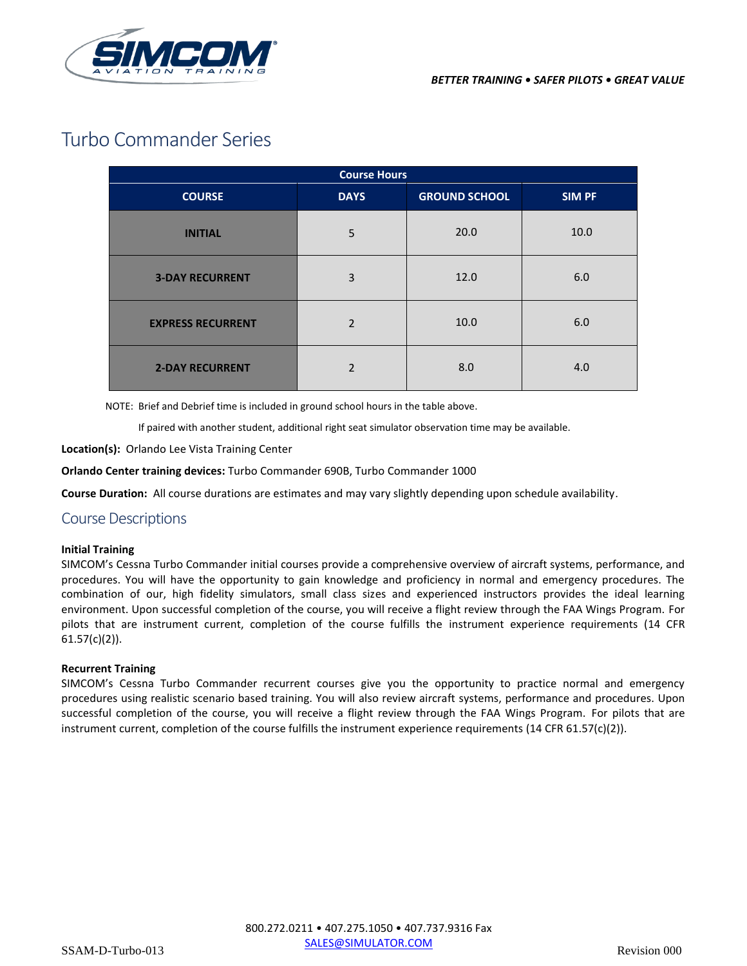

# Turbo Commander Series

| <b>Course Hours</b>      |                |                      |               |
|--------------------------|----------------|----------------------|---------------|
| <b>COURSE</b>            | <b>DAYS</b>    | <b>GROUND SCHOOL</b> | <b>SIM PF</b> |
| <b>INITIAL</b>           | 5              | 20.0                 | 10.0          |
| <b>3-DAY RECURRENT</b>   | 3              | 12.0                 | 6.0           |
| <b>EXPRESS RECURRENT</b> | $\overline{2}$ | 10.0                 | 6.0           |
| <b>2-DAY RECURRENT</b>   | $\mathfrak{p}$ | 8.0                  | 4.0           |

NOTE: Brief and Debrief time is included in ground school hours in the table above.

If paired with another student, additional right seat simulator observation time may be available.

**Location(s):** Orlando Lee Vista Training Center

**Orlando Center training devices:** Turbo Commander 690B, Turbo Commander 1000

**Course Duration:** All course durations are estimates and may vary slightly depending upon schedule availability.

# Course Descriptions

#### **Initial Training**

SIMCOM's Cessna Turbo Commander initial courses provide a comprehensive overview of aircraft systems, performance, and procedures. You will have the opportunity to gain knowledge and proficiency in normal and emergency procedures. The combination of our, high fidelity simulators, small class sizes and experienced instructors provides the ideal learning environment. Upon successful completion of the course, you will receive a flight review through the FAA Wings Program. For pilots that are instrument current, completion of the course fulfills the instrument experience requirements (14 CFR  $61.57(c)(2)$ ).

#### **Recurrent Training**

SIMCOM's Cessna Turbo Commander recurrent courses give you the opportunity to practice normal and emergency procedures using realistic scenario based training. You will also review aircraft systems, performance and procedures. Upon successful completion of the course, you will receive a flight review through the FAA Wings Program. For pilots that are instrument current, completion of the course fulfills the instrument experience requirements (14 CFR 61.57(c)(2)).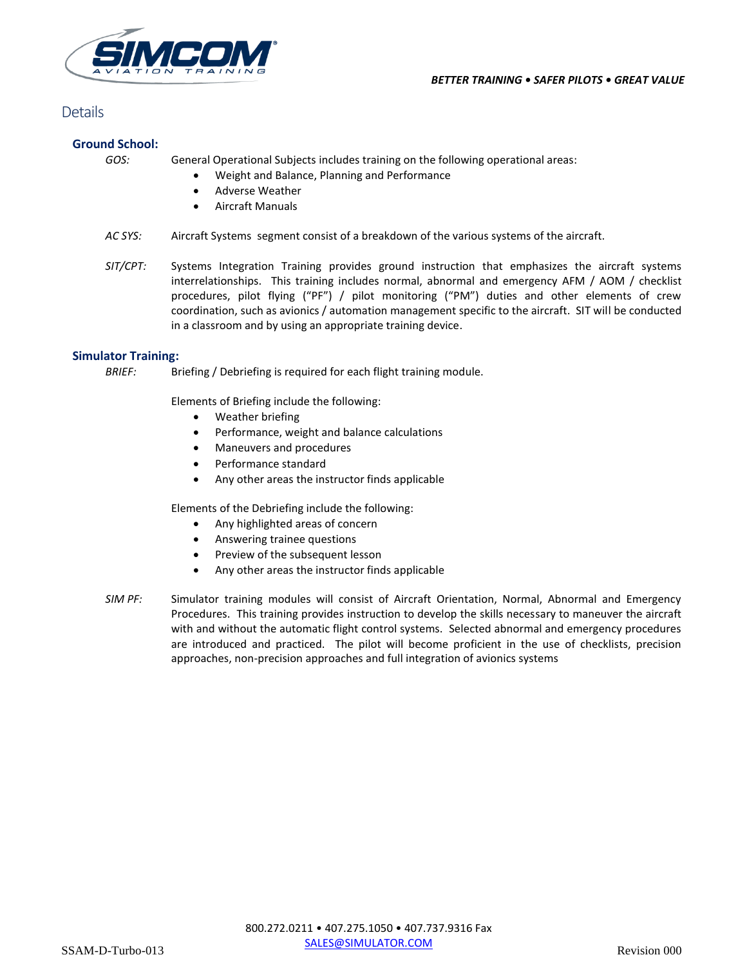

# **Details**

# **Ground School:**

*GOS:* General Operational Subjects includes training on the following operational areas:

- Weight and Balance, Planning and Performance
- Adverse Weather
- Aircraft Manuals
- *AC SYS:* Aircraft Systems segment consist of a breakdown of the various systems of the aircraft.
- *SIT/CPT:* Systems Integration Training provides ground instruction that emphasizes the aircraft systems interrelationships. This training includes normal, abnormal and emergency AFM / AOM / checklist procedures, pilot flying ("PF") / pilot monitoring ("PM") duties and other elements of crew coordination, such as avionics / automation management specific to the aircraft. SIT will be conducted in a classroom and by using an appropriate training device.

# **Simulator Training:**

*BRIEF:* Briefing / Debriefing is required for each flight training module.

Elements of Briefing include the following:

- Weather briefing
- Performance, weight and balance calculations
- Maneuvers and procedures
- Performance standard
- Any other areas the instructor finds applicable

Elements of the Debriefing include the following:

- Any highlighted areas of concern
- Answering trainee questions
- Preview of the subsequent lesson
- Any other areas the instructor finds applicable
- *SIM PF:* Simulator training modules will consist of Aircraft Orientation, Normal, Abnormal and Emergency Procedures. This training provides instruction to develop the skills necessary to maneuver the aircraft with and without the automatic flight control systems. Selected abnormal and emergency procedures are introduced and practiced. The pilot will become proficient in the use of checklists, precision approaches, non-precision approaches and full integration of avionics systems